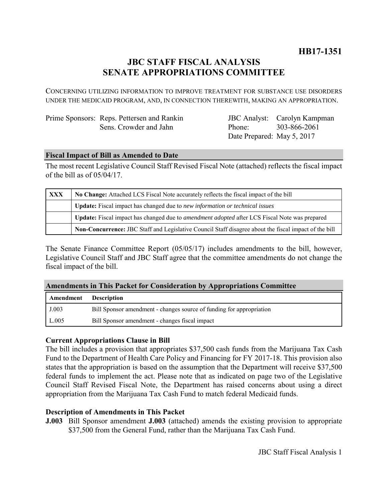# **JBC STAFF FISCAL ANALYSIS SENATE APPROPRIATIONS COMMITTEE**

CONCERNING UTILIZING INFORMATION TO IMPROVE TREATMENT FOR SUBSTANCE USE DISORDERS UNDER THE MEDICAID PROGRAM, AND, IN CONNECTION THEREWITH, MAKING AN APPROPRIATION.

Prime Sponsors: Reps. Pettersen and Rankin Sens. Crowder and Jahn

JBC Analyst: Carolyn Kampman Phone: Date Prepared: May 5, 2017 303-866-2061

# **Fiscal Impact of Bill as Amended to Date**

The most recent Legislative Council Staff Revised Fiscal Note (attached) reflects the fiscal impact of the bill as of 05/04/17.

| XXX | No Change: Attached LCS Fiscal Note accurately reflects the fiscal impact of the bill                 |  |
|-----|-------------------------------------------------------------------------------------------------------|--|
|     | Update: Fiscal impact has changed due to new information or technical issues                          |  |
|     | Update: Fiscal impact has changed due to <i>amendment adopted</i> after LCS Fiscal Note was prepared  |  |
|     | Non-Concurrence: JBC Staff and Legislative Council Staff disagree about the fiscal impact of the bill |  |

The Senate Finance Committee Report (05/05/17) includes amendments to the bill, however, Legislative Council Staff and JBC Staff agree that the committee amendments do not change the fiscal impact of the bill.

### **Amendments in This Packet for Consideration by Appropriations Committee**

| <b>Amendment</b> Description |                                                                      |
|------------------------------|----------------------------------------------------------------------|
| J.003                        | Bill Sponsor amendment - changes source of funding for appropriation |
| L.005                        | Bill Sponsor amendment - changes fiscal impact                       |

# **Current Appropriations Clause in Bill**

The bill includes a provision that appropriates \$37,500 cash funds from the Marijuana Tax Cash Fund to the Department of Health Care Policy and Financing for FY 2017-18. This provision also states that the appropriation is based on the assumption that the Department will receive \$37,500 federal funds to implement the act. Please note that as indicated on page two of the Legislative Council Staff Revised Fiscal Note, the Department has raised concerns about using a direct appropriation from the Marijuana Tax Cash Fund to match federal Medicaid funds.

# **Description of Amendments in This Packet**

**J.003** Bill Sponsor amendment **J.003** (attached) amends the existing provision to appropriate \$37,500 from the General Fund, rather than the Marijuana Tax Cash Fund.